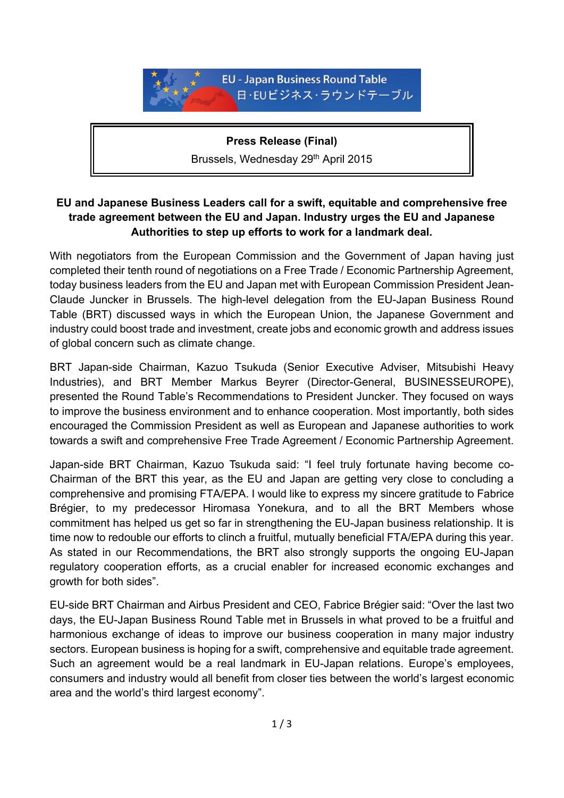

**Press Release (Final)**  Brussels, Wednesday 29<sup>th</sup> April 2015

## **EU and Japanese Business Leaders call for a swift, equitable and comprehensive free trade agreement between the EU and Japan. Industry urges the EU and Japanese Authorities to step up efforts to work for a landmark deal.**

With negotiators from the European Commission and the Government of Japan having just completed their tenth round of negotiations on a Free Trade / Economic Partnership Agreement, today business leaders from the EU and Japan met with European Commission President Jean-Claude Juncker in Brussels. The high-level delegation from the EU-Japan Business Round Table (BRT) discussed ways in which the European Union, the Japanese Government and industry could boost trade and investment, create jobs and economic growth and address issues of global concern such as climate change.

BRT Japan-side Chairman, Kazuo Tsukuda (Senior Executive Adviser, Mitsubishi Heavy Industries), and BRT Member Markus Beyrer (Director-General, BUSINESSEUROPE), presented the Round Table's Recommendations to President Juncker. They focused on ways to improve the business environment and to enhance cooperation. Most importantly, both sides encouraged the Commission President as well as European and Japanese authorities to work towards a swift and comprehensive Free Trade Agreement / Economic Partnership Agreement.

Japan-side BRT Chairman, Kazuo Tsukuda said: "I feel truly fortunate having become co-Chairman of the BRT this year, as the EU and Japan are getting very close to concluding a comprehensive and promising FTA/EPA. I would like to express my sincere gratitude to Fabrice Brégier, to my predecessor Hiromasa Yonekura, and to all the BRT Members whose commitment has helped us get so far in strengthening the EU-Japan business relationship. It is time now to redouble our efforts to clinch a fruitful, mutually beneficial FTA/EPA during this year. As stated in our Recommendations, the BRT also strongly supports the ongoing EU-Japan regulatory cooperation efforts, as a crucial enabler for increased economic exchanges and growth for both sides".

EU-side BRT Chairman and Airbus President and CEO, Fabrice Brégier said: "Over the last two days, the EU-Japan Business Round Table met in Brussels in what proved to be a fruitful and harmonious exchange of ideas to improve our business cooperation in many major industry sectors. European business is hoping for a swift, comprehensive and equitable trade agreement. Such an agreement would be a real landmark in EU-Japan relations. Europe's employees, consumers and industry would all benefit from closer ties between the world's largest economic area and the world's third largest economy".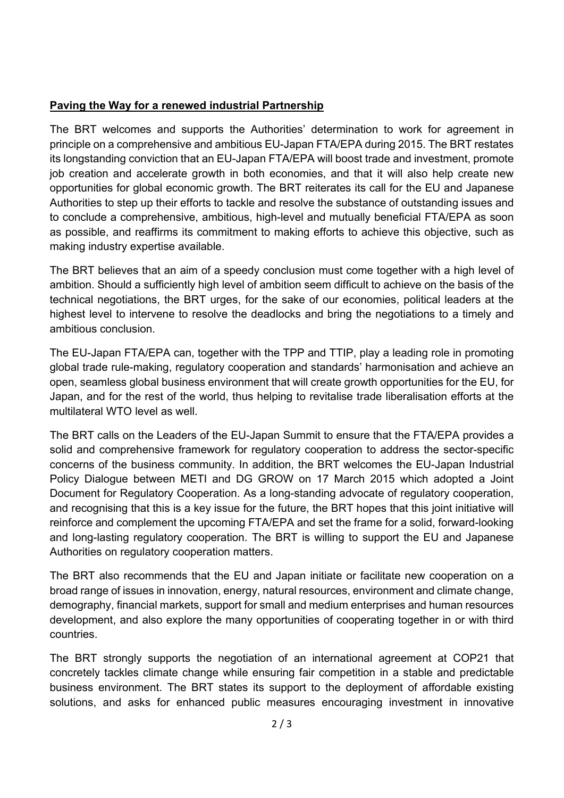## **Paving the Way for a renewed industrial Partnership**

The BRT welcomes and supports the Authorities' determination to work for agreement in principle on a comprehensive and ambitious EU-Japan FTA/EPA during 2015. The BRT restates its longstanding conviction that an EU-Japan FTA/EPA will boost trade and investment, promote job creation and accelerate growth in both economies, and that it will also help create new opportunities for global economic growth. The BRT reiterates its call for the EU and Japanese Authorities to step up their efforts to tackle and resolve the substance of outstanding issues and to conclude a comprehensive, ambitious, high-level and mutually beneficial FTA/EPA as soon as possible, and reaffirms its commitment to making efforts to achieve this objective, such as making industry expertise available.

The BRT believes that an aim of a speedy conclusion must come together with a high level of ambition. Should a sufficiently high level of ambition seem difficult to achieve on the basis of the technical negotiations, the BRT urges, for the sake of our economies, political leaders at the highest level to intervene to resolve the deadlocks and bring the negotiations to a timely and ambitious conclusion.

The EU-Japan FTA/EPA can, together with the TPP and TTIP, play a leading role in promoting global trade rule-making, regulatory cooperation and standards' harmonisation and achieve an open, seamless global business environment that will create growth opportunities for the EU, for Japan, and for the rest of the world, thus helping to revitalise trade liberalisation efforts at the multilateral WTO level as well.

The BRT calls on the Leaders of the EU-Japan Summit to ensure that the FTA/EPA provides a solid and comprehensive framework for regulatory cooperation to address the sector-specific concerns of the business community. In addition, the BRT welcomes the EU-Japan Industrial Policy Dialogue between METI and DG GROW on 17 March 2015 which adopted a Joint Document for Regulatory Cooperation. As a long-standing advocate of regulatory cooperation, and recognising that this is a key issue for the future, the BRT hopes that this joint initiative will reinforce and complement the upcoming FTA/EPA and set the frame for a solid, forward-looking and long-lasting regulatory cooperation. The BRT is willing to support the EU and Japanese Authorities on regulatory cooperation matters.

The BRT also recommends that the EU and Japan initiate or facilitate new cooperation on a broad range of issues in innovation, energy, natural resources, environment and climate change, demography, financial markets, support for small and medium enterprises and human resources development, and also explore the many opportunities of cooperating together in or with third countries.

The BRT strongly supports the negotiation of an international agreement at COP21 that concretely tackles climate change while ensuring fair competition in a stable and predictable business environment. The BRT states its support to the deployment of affordable existing solutions, and asks for enhanced public measures encouraging investment in innovative